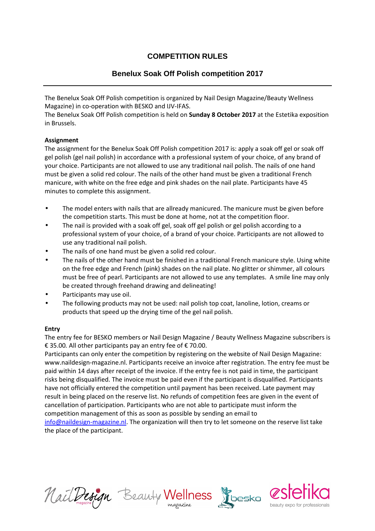# **COMPETITION RULES**

# **Benelux Soak Off Polish competition 2017**

The Benelux Soak Off Polish competition is organized by Nail Design Magazine/Beauty Wellness Magazine) in co-operation with BESKO and IJV-IFAS.

The Benelux Soak Off Polish competition is held on **Sunday 8 October 2017** at the Estetika exposition in Brussels.

# **Assignment**

The assignment for the Benelux Soak Off Polish competition 2017 is: apply a soak off gel or soak off gel polish (gel nail polish) in accordance with a professional system of your choice, of any brand of your choice. Participants are not allowed to use any traditional nail polish. The nails of one hand must be given a solid red colour. The nails of the other hand must be given a traditional French manicure, with white on the free edge and pink shades on the nail plate. Participants have 45 minutes to complete this assignment.

- The model enters with nails that are allready manicured. The manicure must be given before the competition starts. This must be done at home, not at the competition floor.
- The nail is provided with a soak off gel, soak off gel polish or gel polish according to a professional system of your choice, of a brand of your choice. Participants are not allowed to use any traditional nail polish.
- The nails of one hand must be given a solid red colour.
- The nails of the other hand must be finished in a traditional French manicure style. Using white on the free edge and French (pink) shades on the nail plate. No glitter or shimmer, all colours must be free of pearl. Participants are not allowed to use any templates. A smile line may only be created through freehand drawing and delineating!
- Participants may use oil.
- The following products may not be used: nail polish top coat, lanoline, lotion, creams or products that speed up the drying time of the gel nail polish.

#### **Entry**

The entry fee for BESKO members or Nail Design Magazine / Beauty Wellness Magazine subscribers is € 35.00*.* All other participants pay an entry fee of € 70.00.

Participants can only enter the competition by registering on the website of Nail Design Magazine: www.naildesign-magazine.nl. Participants receive an invoice after registration. The entry fee must be paid within 14 days after receipt of the invoice. If the entry fee is not paid in time, the participant risks being disqualified. The invoice must be paid even if the participant is disqualified. Participants have not officially entered the competition until payment has been received. Late payment may result in being placed on the reserve list. No refunds of competition fees are given in the event of cancellation of participation. Participants who are not able to participate must inform the competition management of this as soon as possible by sending an email to info@naildesign-magazine.nl. The organization will then try to let someone on the reserve list take

the place of the participant.

NailDesign Beauty Wellness



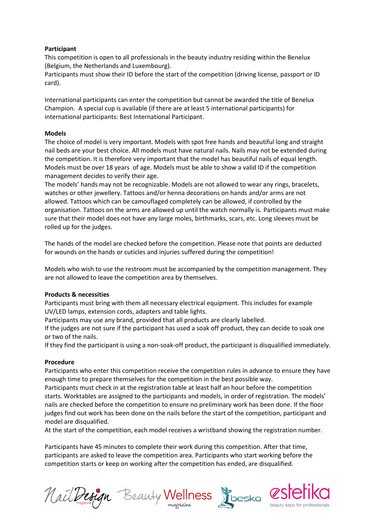#### **Participant**

This competition is open to all professionals in the beauty industry residing within the Benelux (Belgium, the Netherlands and Luxembourg).

Participants must show their ID before the start of the competition (driving license, passport or ID card).

International participants can enter the competition but cannot be awarded the title of Benelux Champion. A special cup is available (if there are at least 5 international participants) for international participants: Best International Participant.

#### **Models**

The choice of model is very important. Models with spot free hands and beautiful long and straight nail beds are your best choice. All models must have natural nails. Nails may not be extended during the competition. It is therefore very important that the model has beautiful nails of equal length. Models must be over 18 years of age. Models must be able to show a valid ID if the competition management decides to verify their age.

The models' hands may not be recognizable. Models are not allowed to wear any rings, bracelets, watches or other jewellery. Tattoos and/or henna decorations on hands and/or arms are not allowed. Tattoos which can be camouflaged completely can be allowed, if controlled by the organisation. Tattoos on the arms are allowed up until the watch normally is. Participants must make sure that their model does not have any large moles, birthmarks, scars, etc. Long sleeves must be rolled up for the judges.

The hands of the model are checked before the competition. Please note that points are deducted for wounds on the hands or cuticles and injuries suffered during the competition!

Models who wish to use the restroom must be accompanied by the competition management. They are not allowed to leave the competition area by themselves.

#### **Products & necessities**

Participants must bring with them all necessary electrical equipment. This includes for example UV/LED lamps, extension cords, adapters and table lights.

Participants may use any brand, provided that all products are clearly labelled.

If the judges are not sure if the participant has used a soak off product, they can decide to soak one or two of the nails.

If they find the participant is using a non-soak-off product, the participant is disqualified immediately.

#### **Procedure**

Participants who enter this competition receive the competition rules in advance to ensure they have enough time to prepare themselves for the competition in the best possible way.

Participants must check in at the registration table at least half an hour before the competition starts. Worktables are assigned to the participants and models, in order of registration. The models' nails are checked before the competition to ensure no preliminary work has been done. If the floor judges find out work has been done on the nails before the start of the competition, participant and model are disqualified.

At the start of the competition, each model receives a wristband showing the registration number.

Participants have 45 minutes to complete their work during this competition. After that time, participants are asked to leave the competition area. Participants who start working before the competition starts or keep on working after the competition has ended, are disqualified.

Nail Design Beauty Wellness Roesko 2516



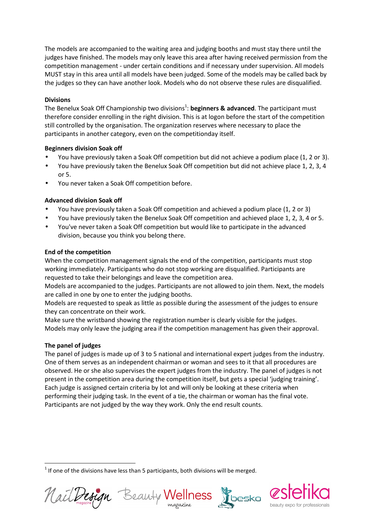The models are accompanied to the waiting area and judging booths and must stay there until the judges have finished. The models may only leave this area after having received permission from the competition management - under certain conditions and if necessary under supervision. All models MUST stay in this area until all models have been judged. Some of the models may be called back by the judges so they can have another look. Models who do not observe these rules are disqualified.

#### **Divisions**

The Benelux Soak Off Championship two divisions<sup>1</sup>: **beginners & advanced**. The participant must therefore consider enrolling in the right division. This is at logon before the start of the competition still controlled by the organisation. The organization reserves where necessary to place the participants in another category, even on the competitionday itself.

#### **Beginners division Soak off**

- You have previously taken a Soak Off competition but did not achieve a podium place (1, 2 or 3).
- You have previously taken the Benelux Soak Off competition but did not achieve place 1, 2, 3, 4 or 5.
- You never taken a Soak Off competition before.

# **Advanced division Soak off**

- You have previously taken a Soak Off competition and achieved a podium place (1, 2 or 3)
- You have previously taken the Benelux Soak Off competition and achieved place 1, 2, 3, 4 or 5.
- You've never taken a Soak Off competition but would like to participate in the advanced division, because you think you belong there.

# **End of the competition**

When the competition management signals the end of the competition, participants must stop working immediately. Participants who do not stop working are disqualified. Participants are requested to take their belongings and leave the competition area.

Models are accompanied to the judges. Participants are not allowed to join them. Next, the models are called in one by one to enter the judging booths.

Models are requested to speak as little as possible during the assessment of the judges to ensure they can concentrate on their work.

Make sure the wristband showing the registration number is clearly visible for the judges. Models may only leave the judging area if the competition management has given their approval.

# **The panel of judges**

 $\overline{\phantom{0}}$ 

The panel of judges is made up of 3 to 5 national and international expert judges from the industry. One of them serves as an independent chairman or woman and sees to it that all procedures are observed. He or she also supervises the expert judges from the industry. The panel of judges is not present in the competition area during the competition itself, but gets a special 'judging training'. Each judge is assigned certain criteria by lot and will only be looking at these criteria when performing their judging task. In the event of a tie, the chairman or woman has the final vote. Participants are not judged by the way they work. Only the end result counts.

 $1$  If one of the divisions have less than 5 participants, both divisions will be merged.



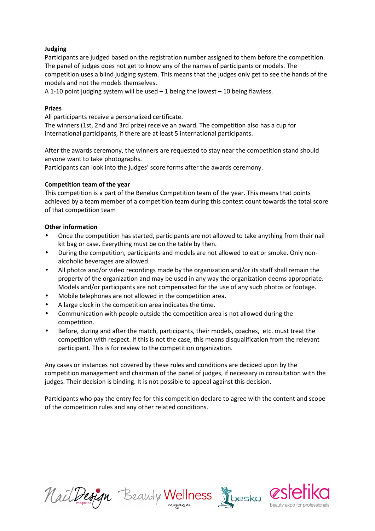#### **Judging**

Participants are judged based on the registration number assigned to them before the competition. The panel of judges does not get to know any of the names of participants or models. The competition uses a blind judging system. This means that the judges only get to see the hands of the models and not the models themselves.

A 1-10 point judging system will be used  $-1$  being the lowest  $-10$  being flawless.

#### **Prizes**

All participants receive a personalized certificate.

The winners (1st, 2nd and 3rd prize) receive an award. The competition also has a cup for international participants, if there are at least 5 international participants.

After the awards ceremony, the winners are requested to stay near the competition stand should anyone want to take photographs.

Participants can look into the judges' score forms after the awards ceremony.

# **Competition team of the year**

This competition is a part of the Benelux Competition team of the year. This means that points achieved by a team member of a competition team during this contest count towards the total score of that competition team

# **Other information**

- Once the competition has started, participants are not allowed to take anything from their nail kit bag or case. Everything must be on the table by then.
- During the competition, participants and models are not allowed to eat or smoke. Only nonalcoholic beverages are allowed.
- All photos and/or video recordings made by the organization and/or its staff shall remain the property of the organization and may be used in any way the organization deems appropriate. Models and/or participants are not compensated for the use of any such photos or footage.
- Mobile telephones are not allowed in the competition area.
- A large clock in the competition area indicates the time.
- Communication with people outside the competition area is not allowed during the competition.
- Before, during and after the match, participants, their models, coaches, etc. must treat the competition with respect. If this is not the case, this means disqualification from the relevant participant. This is for review to the competition organization.

Any cases or instances not covered by these rules and conditions are decided upon by the competition management and chairman of the panel of judges, if necessary in consultation with the judges. Their decision is binding. It is not possible to appeal against this decision.

Participants who pay the entry fee for this competition declare to agree with the content and scope of the competition rules and any other related conditions.

Nail Design Beauty Wellness Roesko CS